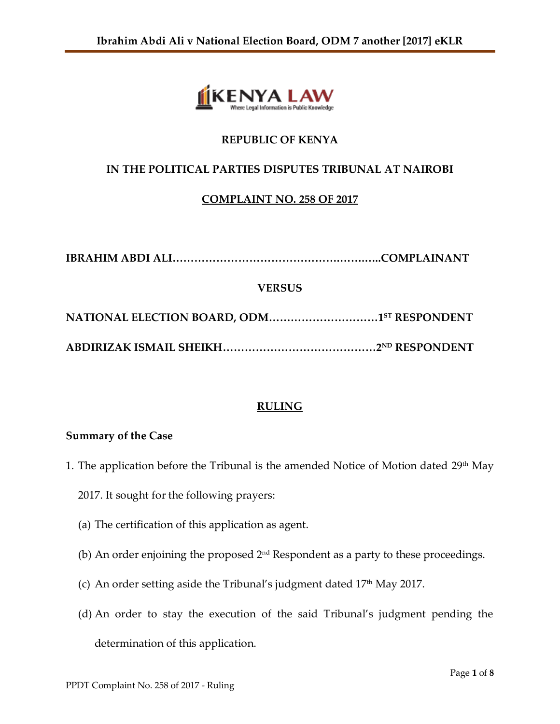

# **REPUBLIC OF KENYA**

# **IN THE POLITICAL PARTIES DISPUTES TRIBUNAL AT NAIROBI**

## **COMPLAINT NO. 258 OF 2017**

**IBRAHIM ABDI ALI……………………………………….…….…..COMPLAINANT**

## **VERSUS**

**NATIONAL ELECTION BOARD, ODM…………………………1ST RESPONDENT ABDIRIZAK ISMAIL SHEIKH……………………………………2ND RESPONDENT**

## **RULING**

## **Summary of the Case**

- 1. The application before the Tribunal is the amended Notice of Motion dated  $29<sup>th</sup>$  May
	- 2017. It sought for the following prayers:
	- (a) The certification of this application as agent.
	- (b) An order enjoining the proposed  $2<sup>nd</sup>$  Respondent as a party to these proceedings.
	- (c) An order setting aside the Tribunal's judgment dated  $17<sup>th</sup>$  May 2017.
	- (d) An order to stay the execution of the said Tribunal's judgment pending the determination of this application.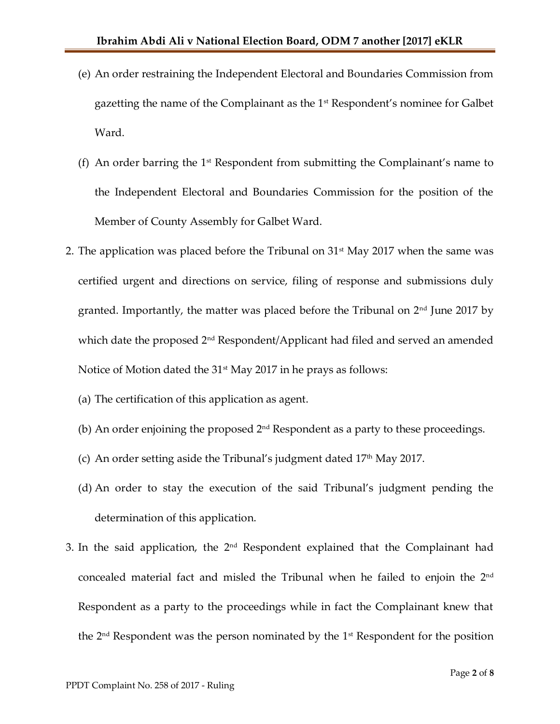- (e) An order restraining the Independent Electoral and Boundaries Commission from gazetting the name of the Complainant as the 1st Respondent's nominee for Galbet Ward.
- (f) An order barring the  $1<sup>st</sup>$  Respondent from submitting the Complainant's name to the Independent Electoral and Boundaries Commission for the position of the Member of County Assembly for Galbet Ward.
- 2. The application was placed before the Tribunal on  $31<sup>st</sup>$  May 2017 when the same was certified urgent and directions on service, filing of response and submissions duly granted. Importantly, the matter was placed before the Tribunal on 2nd June 2017 by which date the proposed 2<sup>nd</sup> Respondent/Applicant had filed and served an amended Notice of Motion dated the 31<sup>st</sup> May 2017 in he prays as follows:
	- (a) The certification of this application as agent.
	- (b) An order enjoining the proposed  $2<sup>nd</sup>$  Respondent as a party to these proceedings.
	- (c) An order setting aside the Tribunal's judgment dated  $17<sup>th</sup>$  May 2017.
	- (d) An order to stay the execution of the said Tribunal's judgment pending the determination of this application.
- 3. In the said application, the  $2<sup>nd</sup>$  Respondent explained that the Complainant had concealed material fact and misled the Tribunal when he failed to enjoin the 2<sup>nd</sup> Respondent as a party to the proceedings while in fact the Complainant knew that the  $2<sup>nd</sup>$  Respondent was the person nominated by the  $1<sup>st</sup>$  Respondent for the position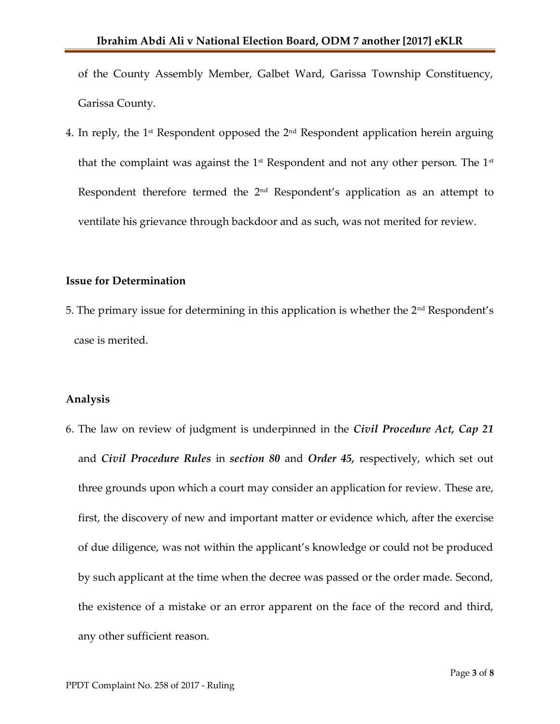of the County Assembly Member, Galbet Ward, Garissa Township Constituency, Garissa County.

4. In reply, the  $1<sup>st</sup>$  Respondent opposed the  $2<sup>nd</sup>$  Respondent application herein arguing that the complaint was against the  $1<sup>st</sup>$  Respondent and not any other person. The  $1<sup>st</sup>$ Respondent therefore termed the 2<sup>nd</sup> Respondent's application as an attempt to ventilate his grievance through backdoor and as such, was not merited for review.

#### **Issue for Determination**

5. The primary issue for determining in this application is whether the  $2<sup>nd</sup>$  Respondent's case is merited.

#### **Analysis**

6. The law on review of judgment is underpinned in the *Civil Procedure Act, Cap 21*  and *Civil Procedure Rules* in *section 80* and *Order 45,* respectively, which set out three grounds upon which a court may consider an application for review. These are, first, the discovery of new and important matter or evidence which, after the exercise of due diligence, was not within the applicant's knowledge or could not be produced by such applicant at the time when the decree was passed or the order made. Second, the existence of a mistake or an error apparent on the face of the record and third, any other sufficient reason.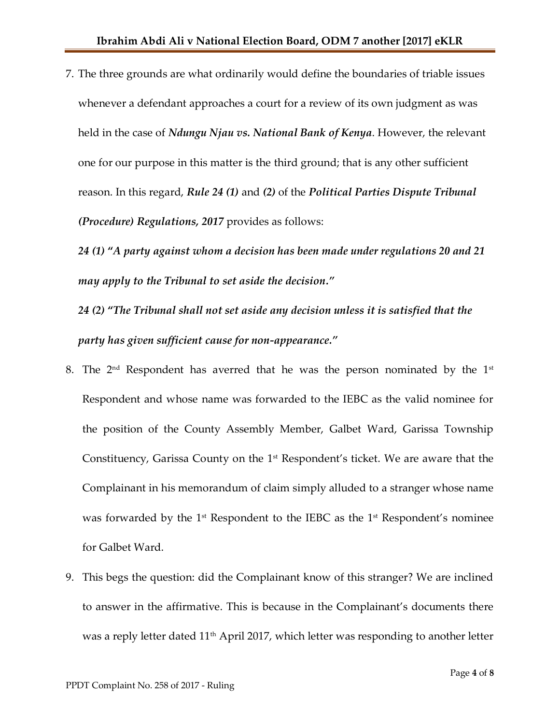7. The three grounds are what ordinarily would define the boundaries of triable issues whenever a defendant approaches a court for a review of its own judgment as was held in the case of *Ndungu Njau vs. National Bank of Kenya*. However, the relevant one for our purpose in this matter is the third ground; that is any other sufficient reason. In this regard, *Rule 24 (1)* and *(2)* of the *Political Parties Dispute Tribunal (Procedure) Regulations, 2017* provides as follows:

*24 (1)* **"***A party against whom a decision has been made under regulations 20 and 21 may apply to the Tribunal to set aside the decision."*

*24 (2)* **"***The Tribunal shall not set aside any decision unless it is satisfied that the party has given sufficient cause for non-appearance."*

- 8. The 2<sup>nd</sup> Respondent has averred that he was the person nominated by the 1st Respondent and whose name was forwarded to the IEBC as the valid nominee for the position of the County Assembly Member, Galbet Ward, Garissa Township Constituency, Garissa County on the  $1<sup>st</sup>$  Respondent's ticket. We are aware that the Complainant in his memorandum of claim simply alluded to a stranger whose name was forwarded by the 1<sup>st</sup> Respondent to the IEBC as the 1<sup>st</sup> Respondent's nominee for Galbet Ward.
- 9. This begs the question: did the Complainant know of this stranger? We are inclined to answer in the affirmative. This is because in the Complainant's documents there was a reply letter dated 11<sup>th</sup> April 2017, which letter was responding to another letter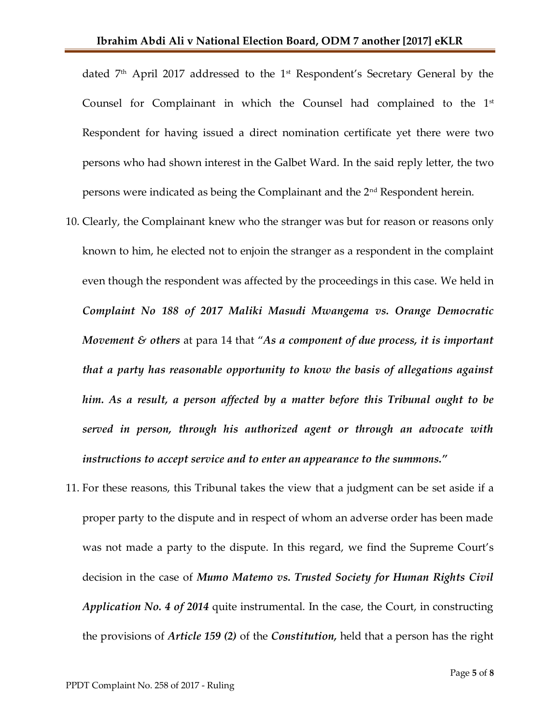dated 7th April 2017 addressed to the 1st Respondent's Secretary General by the Counsel for Complainant in which the Counsel had complained to the  $1<sup>st</sup>$ Respondent for having issued a direct nomination certificate yet there were two persons who had shown interest in the Galbet Ward. In the said reply letter, the two persons were indicated as being the Complainant and the 2nd Respondent herein.

- 10. Clearly, the Complainant knew who the stranger was but for reason or reasons only known to him, he elected not to enjoin the stranger as a respondent in the complaint even though the respondent was affected by the proceedings in this case. We held in *Complaint No 188 of 2017 Maliki Masudi Mwangema vs. Orange Democratic Movement & others* at para 14 that "*As a component of due process, it is important that a party has reasonable opportunity to know the basis of allegations against him. As a result, a person affected by a matter before this Tribunal ought to be served in person, through his authorized agent or through an advocate with instructions to accept service and to enter an appearance to the summons."*
- 11. For these reasons, this Tribunal takes the view that a judgment can be set aside if a proper party to the dispute and in respect of whom an adverse order has been made was not made a party to the dispute. In this regard, we find the Supreme Court's decision in the case of *Mumo Matemo vs. Trusted Society for Human Rights Civil Application No. 4 of 2014* quite instrumental. In the case, the Court, in constructing the provisions of *Article 159 (2)* of the *Constitution,* held that a person has the right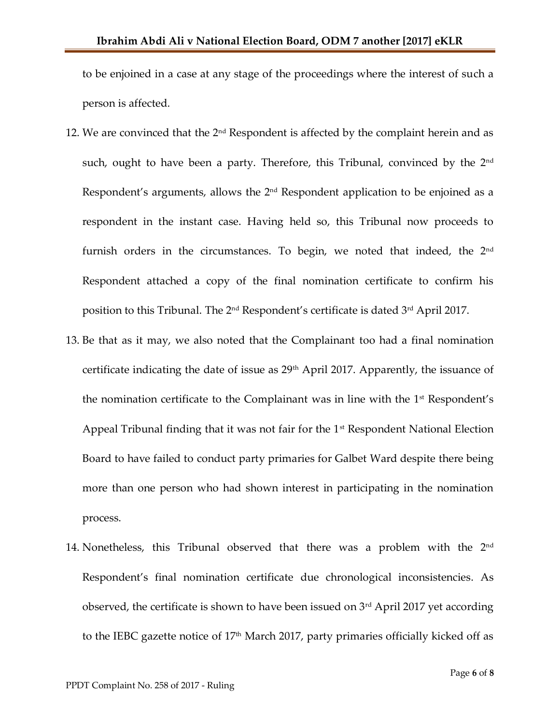to be enjoined in a case at any stage of the proceedings where the interest of such a person is affected.

- 12. We are convinced that the 2<sup>nd</sup> Respondent is affected by the complaint herein and as such, ought to have been a party. Therefore, this Tribunal, convinced by the  $2<sup>nd</sup>$ Respondent's arguments, allows the 2<sup>nd</sup> Respondent application to be enjoined as a respondent in the instant case. Having held so, this Tribunal now proceeds to furnish orders in the circumstances. To begin, we noted that indeed, the 2<sup>nd</sup> Respondent attached a copy of the final nomination certificate to confirm his position to this Tribunal. The 2<sup>nd</sup> Respondent's certificate is dated 3<sup>rd</sup> April 2017.
- 13. Be that as it may, we also noted that the Complainant too had a final nomination certificate indicating the date of issue as  $29<sup>th</sup>$  April 2017. Apparently, the issuance of the nomination certificate to the Complainant was in line with the  $1<sup>st</sup>$  Respondent's Appeal Tribunal finding that it was not fair for the  $1<sup>st</sup>$  Respondent National Election Board to have failed to conduct party primaries for Galbet Ward despite there being more than one person who had shown interest in participating in the nomination process.
- 14. Nonetheless, this Tribunal observed that there was a problem with the 2<sup>nd</sup> Respondent's final nomination certificate due chronological inconsistencies. As observed, the certificate is shown to have been issued on  $3<sup>rd</sup>$  April 2017 yet according to the IEBC gazette notice of  $17<sup>th</sup>$  March 2017, party primaries officially kicked off as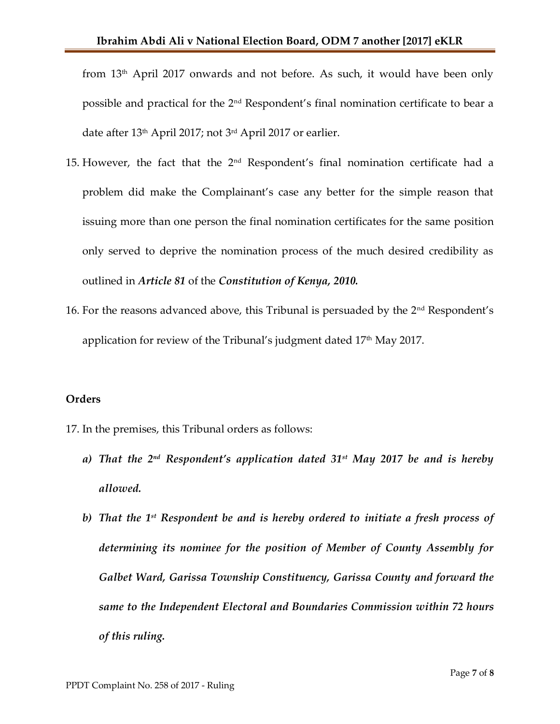from  $13<sup>th</sup>$  April 2017 onwards and not before. As such, it would have been only possible and practical for the 2nd Respondent's final nomination certificate to bear a date after 13<sup>th</sup> April 2017; not 3<sup>rd</sup> April 2017 or earlier.

- 15. However, the fact that the 2nd Respondent's final nomination certificate had a problem did make the Complainant's case any better for the simple reason that issuing more than one person the final nomination certificates for the same position only served to deprive the nomination process of the much desired credibility as outlined in *Article 81* of the *Constitution of Kenya, 2010.*
- 16. For the reasons advanced above, this Tribunal is persuaded by the 2nd Respondent's application for review of the Tribunal's judgment dated  $17<sup>th</sup>$  May 2017.

#### **Orders**

- 17. In the premises, this Tribunal orders as follows:
	- *a) That the 2nd Respondent's application dated 31st May 2017 be and is hereby allowed.*
	- *b) That the 1 st Respondent be and is hereby ordered to initiate a fresh process of determining its nominee for the position of Member of County Assembly for Galbet Ward, Garissa Township Constituency, Garissa County and forward the same to the Independent Electoral and Boundaries Commission within 72 hours of this ruling.*